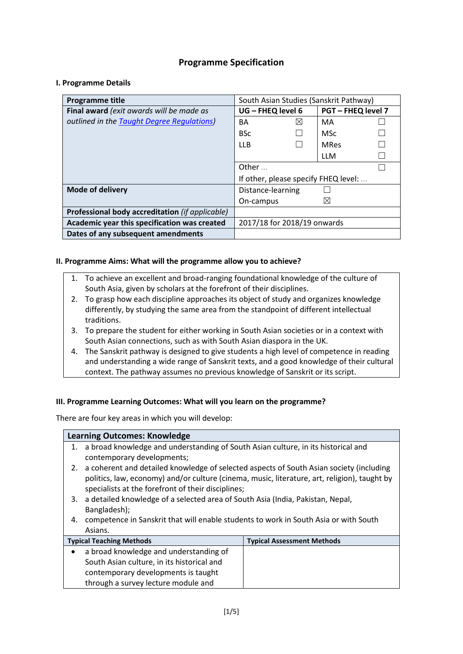# **Programme Specification**

### **I. Programme Details**

| Programme title                                 | South Asian Studies (Sanskrit Pathway) |             |                           |  |
|-------------------------------------------------|----------------------------------------|-------------|---------------------------|--|
| Final award (exit awards will be made as        | UG - FHEQ level 6                      |             | <b>PGT - FHEQ level 7</b> |  |
| outlined in the Taught Degree Regulations)      | BA                                     | $\boxtimes$ | MA                        |  |
|                                                 | <b>BSc</b>                             |             | <b>MSc</b>                |  |
|                                                 | LLB.                                   |             | <b>MRes</b>               |  |
|                                                 |                                        |             | LLM                       |  |
|                                                 | Other $\ldots$                         |             |                           |  |
|                                                 | If other, please specify FHEQ level:   |             |                           |  |
| <b>Mode of delivery</b>                         | Distance-learning                      |             |                           |  |
|                                                 | On-campus                              |             | ⊠                         |  |
| Professional body accreditation (if applicable) |                                        |             |                           |  |
| Academic year this specification was created    | 2017/18 for 2018/19 onwards            |             |                           |  |
| Dates of any subsequent amendments              |                                        |             |                           |  |

#### **II. Programme Aims: What will the programme allow you to achieve?**

- 1. To achieve an excellent and broad-ranging foundational knowledge of the culture of South Asia, given by scholars at the forefront of their disciplines.
- 2. To grasp how each discipline approaches its object of study and organizes knowledge differently, by studying the same area from the standpoint of different intellectual traditions.
- 3. To prepare the student for either working in South Asian societies or in a context with South Asian connections, such as with South Asian diaspora in the UK.
- 4. The Sanskrit pathway is designed to give students a high level of competence in reading and understanding a wide range of Sanskrit texts, and a good knowledge of their cultural context. The pathway assumes no previous knowledge of Sanskrit or its script.

### **III. Programme Learning Outcomes: What will you learn on the programme?**

There are four key areas in which you will develop:

## **Learning Outcomes: Knowledge** 1. a broad knowledge and understanding of South Asian culture, in its historical and contemporary developments; 2. a coherent and detailed knowledge of selected aspects of South Asian society (including politics, law, economy) and/or culture (cinema, music, literature, art, religion), taught by specialists at the forefront of their disciplines; 3. a detailed knowledge of a selected area of South Asia (India, Pakistan, Nepal, Bangladesh); 4. competence in Sanskrit that will enable students to work in South Asia or with South Asians. **Typical Teaching Methods Typical Assessment Methods** • a broad knowledge and understanding of South Asian culture, in its historical and contemporary developments is taught through a survey lecture module and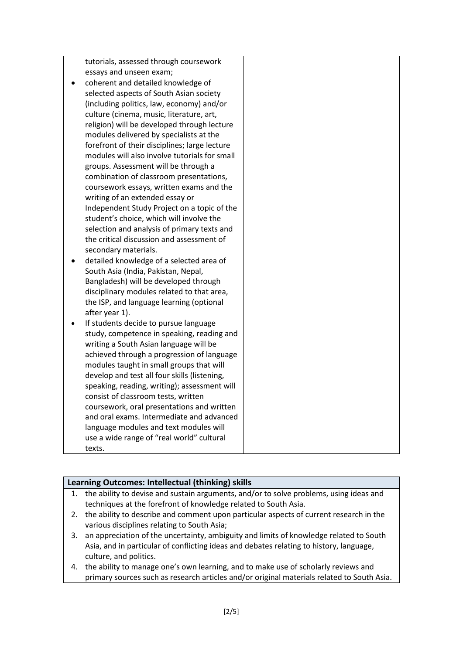tutorials, assessed through coursework essays and unseen exam;

- coherent and detailed knowledge of selected aspects of South Asian society (including politics, law, economy) and/or culture (cinema, music, literature, art, religion) will be developed through lecture modules delivered by specialists at the forefront of their disciplines; large lecture modules will also involve tutorials for small groups. Assessment will be through a combination of classroom presentations, coursework essays, written exams and the writing of an extended essay or Independent Study Project on a topic of the student's choice, which will involve the selection and analysis of primary texts and the critical discussion and assessment of secondary materials.
- detailed knowledge of a selected area of South Asia (India, Pakistan, Nepal, Bangladesh) will be developed through disciplinary modules related to that area, the ISP, and language learning (optional after year 1).
- If students decide to pursue language study, competence in speaking, reading and writing a South Asian language will be achieved through a progression of language modules taught in small groups that will develop and test all four skills (listening, speaking, reading, writing); assessment will consist of classroom tests, written coursework, oral presentations and written and oral exams. Intermediate and advanced language modules and text modules will use a wide range of "real world" cultural texts.

### **Learning Outcomes: Intellectual (thinking) skills**

- 1. the ability to devise and sustain arguments, and/or to solve problems, using ideas and techniques at the forefront of knowledge related to South Asia.
- 2. the ability to describe and comment upon particular aspects of current research in the various disciplines relating to South Asia;
- 3. an appreciation of the uncertainty, ambiguity and limits of knowledge related to South Asia, and in particular of conflicting ideas and debates relating to history, language, culture, and politics.
- 4. the ability to manage one's own learning, and to make use of scholarly reviews and primary sources such as research articles and/or original materials related to South Asia.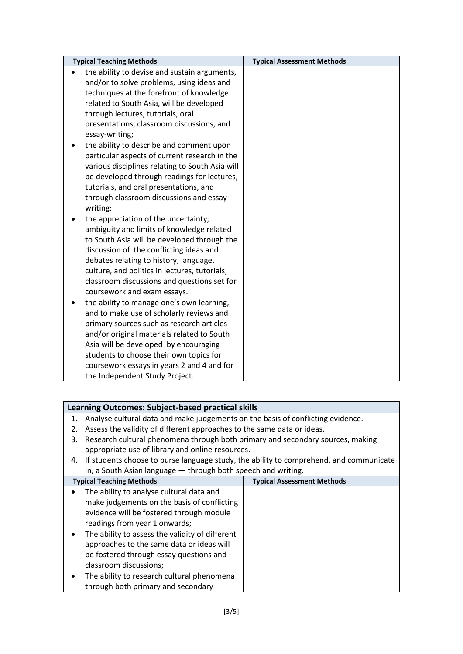| <b>Typical Teaching Methods</b>                 | <b>Typical Assessment Methods</b> |
|-------------------------------------------------|-----------------------------------|
| the ability to devise and sustain arguments,    |                                   |
| and/or to solve problems, using ideas and       |                                   |
| techniques at the forefront of knowledge        |                                   |
| related to South Asia, will be developed        |                                   |
| through lectures, tutorials, oral               |                                   |
| presentations, classroom discussions, and       |                                   |
| essay-writing;                                  |                                   |
| the ability to describe and comment upon        |                                   |
| particular aspects of current research in the   |                                   |
| various disciplines relating to South Asia will |                                   |
| be developed through readings for lectures,     |                                   |
| tutorials, and oral presentations, and          |                                   |
| through classroom discussions and essay-        |                                   |
| writing;                                        |                                   |
| the appreciation of the uncertainty,            |                                   |
| ambiguity and limits of knowledge related       |                                   |
| to South Asia will be developed through the     |                                   |
| discussion of the conflicting ideas and         |                                   |
| debates relating to history, language,          |                                   |
| culture, and politics in lectures, tutorials,   |                                   |
| classroom discussions and questions set for     |                                   |
| coursework and exam essays.                     |                                   |
| the ability to manage one's own learning,       |                                   |
| and to make use of scholarly reviews and        |                                   |
| primary sources such as research articles       |                                   |
| and/or original materials related to South      |                                   |
| Asia will be developed by encouraging           |                                   |
| students to choose their own topics for         |                                   |
| coursework essays in years 2 and 4 and for      |                                   |
| the Independent Study Project.                  |                                   |

## **Learning Outcomes: Subject-based practical skills**

- 1. Analyse cultural data and make judgements on the basis of conflicting evidence.
- 2. Assess the validity of different approaches to the same data or ideas.
- 3. Research cultural phenomena through both primary and secondary sources, making appropriate use of library and online resources.
- 4. If students choose to purse language study, the ability to comprehend, and communicate in, a South Asian language — through both speech and writing.

| <b>Typical Teaching Methods</b>                                                              | <b>Typical Assessment Methods</b> |
|----------------------------------------------------------------------------------------------|-----------------------------------|
| The ability to analyse cultural data and<br>make judgements on the basis of conflicting      |                                   |
| evidence will be fostered through module<br>readings from year 1 onwards;                    |                                   |
| The ability to assess the validity of different<br>approaches to the same data or ideas will |                                   |
| be fostered through essay questions and<br>classroom discussions;                            |                                   |
| The ability to research cultural phenomena<br>through both primary and secondary             |                                   |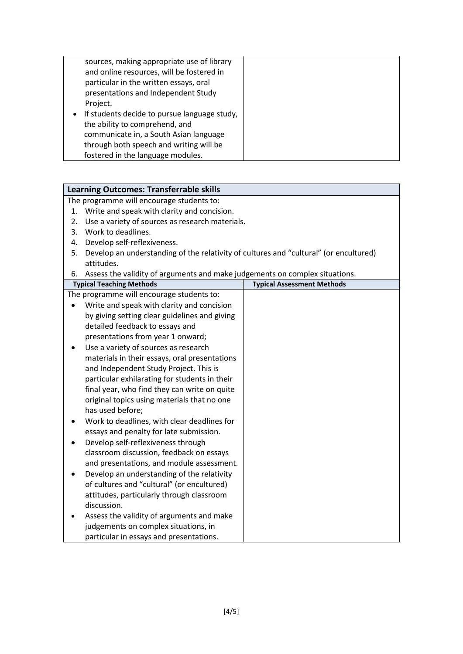| sources, making appropriate use of library<br>and online resources, will be fostered in<br>particular in the written essays, oral |  |
|-----------------------------------------------------------------------------------------------------------------------------------|--|
| presentations and Independent Study                                                                                               |  |
| Project.                                                                                                                          |  |
| If students decide to pursue language study,<br>$\bullet$                                                                         |  |
| the ability to comprehend, and                                                                                                    |  |
| communicate in, a South Asian language                                                                                            |  |
| through both speech and writing will be                                                                                           |  |
| fostered in the language modules.                                                                                                 |  |

| <b>Learning Outcomes: Transferrable skills</b> |                                                                                       |  |  |  |
|------------------------------------------------|---------------------------------------------------------------------------------------|--|--|--|
|                                                | The programme will encourage students to:                                             |  |  |  |
| 1.                                             | Write and speak with clarity and concision.                                           |  |  |  |
| 2.                                             | Use a variety of sources as research materials.                                       |  |  |  |
| 3.                                             | Work to deadlines.                                                                    |  |  |  |
| 4.                                             | Develop self-reflexiveness.                                                           |  |  |  |
| 5.                                             | Develop an understanding of the relativity of cultures and "cultural" (or encultured) |  |  |  |
|                                                | attitudes.                                                                            |  |  |  |
| 6.                                             | Assess the validity of arguments and make judgements on complex situations.           |  |  |  |
|                                                | <b>Typical Teaching Methods</b><br><b>Typical Assessment Methods</b>                  |  |  |  |
|                                                | The programme will encourage students to:                                             |  |  |  |
|                                                | Write and speak with clarity and concision                                            |  |  |  |
|                                                | by giving setting clear guidelines and giving                                         |  |  |  |
|                                                | detailed feedback to essays and                                                       |  |  |  |
|                                                | presentations from year 1 onward;                                                     |  |  |  |
|                                                | Use a variety of sources as research                                                  |  |  |  |
|                                                | materials in their essays, oral presentations                                         |  |  |  |
|                                                | and Independent Study Project. This is                                                |  |  |  |
|                                                | particular exhilarating for students in their                                         |  |  |  |
|                                                | final year, who find they can write on quite                                          |  |  |  |
|                                                | original topics using materials that no one                                           |  |  |  |
|                                                | has used before;                                                                      |  |  |  |
|                                                | Work to deadlines, with clear deadlines for                                           |  |  |  |
|                                                | essays and penalty for late submission.                                               |  |  |  |
|                                                | Develop self-reflexiveness through                                                    |  |  |  |
|                                                | classroom discussion, feedback on essays                                              |  |  |  |
|                                                | and presentations, and module assessment.                                             |  |  |  |
|                                                | Develop an understanding of the relativity                                            |  |  |  |
|                                                | of cultures and "cultural" (or encultured)                                            |  |  |  |
|                                                | attitudes, particularly through classroom                                             |  |  |  |
|                                                | discussion.                                                                           |  |  |  |
|                                                | Assess the validity of arguments and make                                             |  |  |  |
|                                                | judgements on complex situations, in                                                  |  |  |  |
|                                                | particular in essays and presentations.                                               |  |  |  |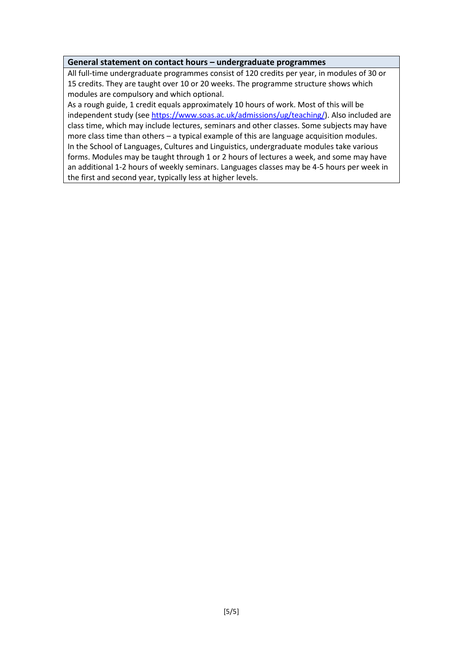#### **General statement on contact hours – undergraduate programmes**

All full-time undergraduate programmes consist of 120 credits per year, in modules of 30 or 15 credits. They are taught over 10 or 20 weeks. The programme structure shows which modules are compulsory and which optional.

As a rough guide, 1 credit equals approximately 10 hours of work. Most of this will be independent study (see [https://www.soas.ac.uk/admissions/ug/teaching/\)](https://www.soas.ac.uk/admissions/ug/teaching/). Also included are class time, which may include lectures, seminars and other classes. Some subjects may have more class time than others – a typical example of this are language acquisition modules. In the School of Languages, Cultures and Linguistics, undergraduate modules take various forms. Modules may be taught through 1 or 2 hours of lectures a week, and some may have an additional 1-2 hours of weekly seminars. Languages classes may be 4-5 hours per week in the first and second year, typically less at higher levels.